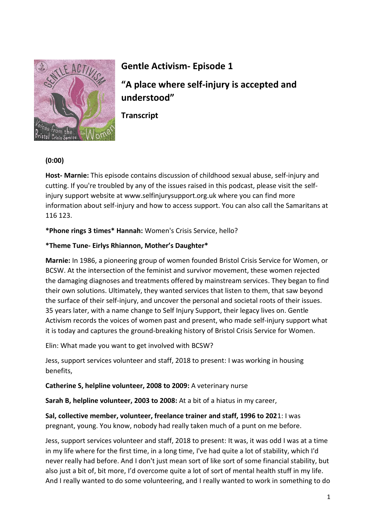

# **Gentle Activism- Episode 1**

**"A place where self-injury is accepted and understood"**

**Transcript**

## **(0:00)**

**Host- Marnie:** This episode contains discussion of childhood sexual abuse, self-injury and cutting. If you're troubled by any of the issues raised in this podcast, please visit the selfinjury support website at www.selfinjurysupport.org.uk where you can find more information about self-injury and how to access support. You can also call the Samaritans at 116 123.

**\*Phone rings 3 times\* Hannah:** Women's Crisis Service, hello?

## **\*Theme Tune- Eirlys Rhiannon, Mother's Daughter\***

**Marnie:** In 1986, a pioneering group of women founded Bristol Crisis Service for Women, or BCSW. At the intersection of the feminist and survivor movement, these women rejected the damaging diagnoses and treatments offered by mainstream services. They began to find their own solutions. Ultimately, they wanted services that listen to them, that saw beyond the surface of their self-injury, and uncover the personal and societal roots of their issues. 35 years later, with a name change to Self Injury Support, their legacy lives on. Gentle Activism records the voices of women past and present, who made self-injury support what it is today and captures the ground-breaking history of Bristol Crisis Service for Women.

Elin: What made you want to get involved with BCSW?

Jess, support services volunteer and staff, 2018 to present: I was working in housing benefits,

**Catherine S, helpline volunteer, 2008 to 2009:** A veterinary nurse

**Sarah B, helpline volunteer, 2003 to 2008:** At a bit of a hiatus in my career,

**Sal, collective member, volunteer, freelance trainer and staff, 1996 to 202**1: I was pregnant, young. You know, nobody had really taken much of a punt on me before.

Jess, support services volunteer and staff, 2018 to present: It was, it was odd I was at a time in my life where for the first time, in a long time, I've had quite a lot of stability, which I'd never really had before. And I don't just mean sort of like sort of some financial stability, but also just a bit of, bit more, I'd overcome quite a lot of sort of mental health stuff in my life. And I really wanted to do some volunteering, and I really wanted to work in something to do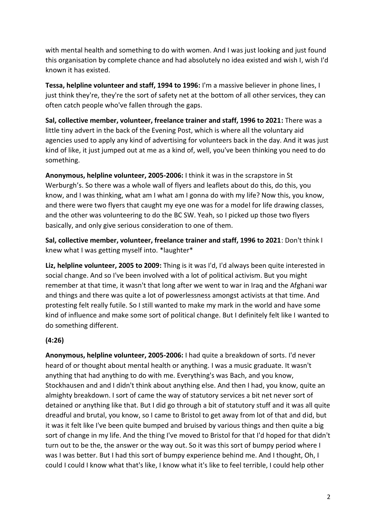with mental health and something to do with women. And I was just looking and just found this organisation by complete chance and had absolutely no idea existed and wish I, wish I'd known it has existed.

**Tessa, helpline volunteer and staff, 1994 to 1996:** I'm a massive believer in phone lines, I just think they're, they're the sort of safety net at the bottom of all other services, they can often catch people who've fallen through the gaps.

**Sal, collective member, volunteer, freelance trainer and staff, 1996 to 2021:** There was a little tiny advert in the back of the Evening Post, which is where all the voluntary aid agencies used to apply any kind of advertising for volunteers back in the day. And it was just kind of like, it just jumped out at me as a kind of, well, you've been thinking you need to do something.

**Anonymous, helpline volunteer, 2005-2006:** I think it was in the scrapstore in St Werburgh's. So there was a whole wall of flyers and leaflets about do this, do this, you know, and I was thinking, what am I what am I gonna do with my life? Now this, you know, and there were two flyers that caught my eye one was for a model for life drawing classes, and the other was volunteering to do the BC SW. Yeah, so I picked up those two flyers basically, and only give serious consideration to one of them.

**Sal, collective member, volunteer, freelance trainer and staff, 1996 to 2021**: Don't think I knew what I was getting myself into. \*laughter\*

**Liz, helpline volunteer, 2005 to 2009:** Thing is it was I'd, I'd always been quite interested in social change. And so I've been involved with a lot of political activism. But you might remember at that time, it wasn't that long after we went to war in Iraq and the Afghani war and things and there was quite a lot of powerlessness amongst activists at that time. And protesting felt really futile. So I still wanted to make my mark in the world and have some kind of influence and make some sort of political change. But I definitely felt like I wanted to do something different.

# **(4:26)**

**Anonymous, helpline volunteer, 2005-2006:** I had quite a breakdown of sorts. I'd never heard of or thought about mental health or anything. I was a music graduate. It wasn't anything that had anything to do with me. Everything's was Bach, and you know, Stockhausen and and I didn't think about anything else. And then I had, you know, quite an almighty breakdown. I sort of came the way of statutory services a bit net never sort of detained or anything like that. But I did go through a bit of statutory stuff and it was all quite dreadful and brutal, you know, so I came to Bristol to get away from lot of that and did, but it was it felt like I've been quite bumped and bruised by various things and then quite a big sort of change in my life. And the thing I've moved to Bristol for that I'd hoped for that didn't turn out to be the, the answer or the way out. So it was this sort of bumpy period where I was I was better. But I had this sort of bumpy experience behind me. And I thought, Oh, I could I could I know what that's like, I know what it's like to feel terrible, I could help other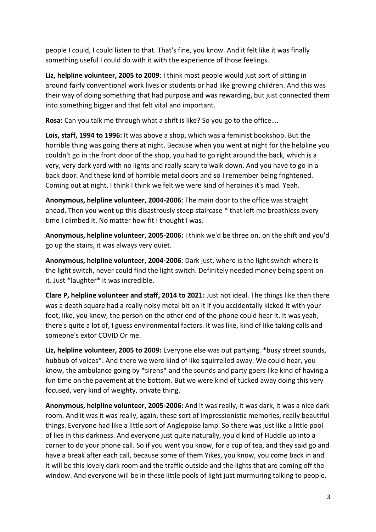people I could, I could listen to that. That's fine, you know. And it felt like it was finally something useful I could do with it with the experience of those feelings.

**Liz, helpline volunteer, 2005 to 2009**: I think most people would just sort of sitting in around fairly conventional work lives or students or had like growing children. And this was their way of doing something that had purpose and was rewarding, but just connected them into something bigger and that felt vital and important.

**Rosa:** Can you talk me through what a shift is like? So you go to the office….

**Lois, staff, 1994 to 1996:** It was above a shop, which was a feminist bookshop. But the horrible thing was going there at night. Because when you went at night for the helpline you couldn't go in the front door of the shop, you had to go right around the back, which is a very, very dark yard with no lights and really scary to walk down. And you have to go in a back door. And these kind of horrible metal doors and so I remember being frightened. Coming out at night. I think I think we felt we were kind of heroines it's mad. Yeah.

**Anonymous, helpline volunteer, 2004-2006**: The main door to the office was straight ahead. Then you went up this disastrously steep staircase \* that left me breathless every time I climbed it. No matter how fit I thought I was.

**Anonymous, helpline volunteer, 2005-2006:** I think we'd be three on, on the shift and you'd go up the stairs, it was always very quiet.

**Anonymous, helpline volunteer, 2004-2006**: Dark just, where is the light switch where is the light switch, never could find the light switch. Definitely needed money being spent on it. Just \*laughter\* it was incredible.

**Clare P, helpline volunteer and staff, 2014 to 2021:** Just not ideal. The things like then there was a death square had a really noisy metal bit on it if you accidentally kicked it with your foot, like, you know, the person on the other end of the phone could hear it. It was yeah, there's quite a lot of, I guess environmental factors. It was like, kind of like taking calls and someone's extor COVID Or me.

**Liz, helpline volunteer, 2005 to 2009:** Everyone else was out partying. \*busy street sounds, hubbub of voices\*. And there we were kind of like squirrelled away. We could hear, you know, the ambulance going by \*sirens\* and the sounds and party goers like kind of having a fun time on the pavement at the bottom. But we were kind of tucked away doing this very focused, very kind of weighty, private thing.

**Anonymous, helpline volunteer, 2005-2006:** And it was really, it was dark, it was a nice dark room. And it was it was really, again, these sort of impressionistic memories, really beautiful things. Everyone had like a little sort of Anglepoise lamp. So there was just like a little pool of lies in this darkness. And everyone just quite naturally, you'd kind of Huddle up into a corner to do your phone call. So if you went you know, for a cup of tea, and they said go and have a break after each call, because some of them Yikes, you know, you come back in and it will be this lovely dark room and the traffic outside and the lights that are coming off the window. And everyone will be in these little pools of light just murmuring talking to people.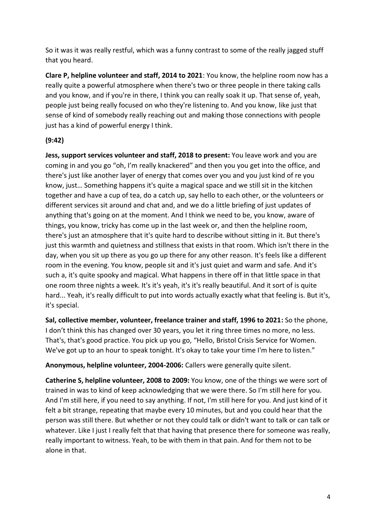So it was it was really restful, which was a funny contrast to some of the really jagged stuff that you heard.

**Clare P, helpline volunteer and staff, 2014 to 2021**: You know, the helpline room now has a really quite a powerful atmosphere when there's two or three people in there taking calls and you know, and if you're in there, I think you can really soak it up. That sense of, yeah, people just being really focused on who they're listening to. And you know, like just that sense of kind of somebody really reaching out and making those connections with people just has a kind of powerful energy I think.

# **(9:42)**

**Jess, support services volunteer and staff, 2018 to present:** You leave work and you are coming in and you go "oh, I'm really knackered" and then you you get into the office, and there's just like another layer of energy that comes over you and you just kind of re you know, just… Something happens it's quite a magical space and we still sit in the kitchen together and have a cup of tea, do a catch up, say hello to each other, or the volunteers or different services sit around and chat and, and we do a little briefing of just updates of anything that's going on at the moment. And I think we need to be, you know, aware of things, you know, tricky has come up in the last week or, and then the helpline room, there's just an atmosphere that it's quite hard to describe without sitting in it. But there's just this warmth and quietness and stillness that exists in that room. Which isn't there in the day, when you sit up there as you go up there for any other reason. It's feels like a different room in the evening. You know, people sit and it's just quiet and warm and safe. And it's such a, it's quite spooky and magical. What happens in there off in that little space in that one room three nights a week. It's it's yeah, it's it's really beautiful. And it sort of is quite hard... Yeah, it's really difficult to put into words actually exactly what that feeling is. But it's, it's special.

**Sal, collective member, volunteer, freelance trainer and staff, 1996 to 2021:** So the phone, I don't think this has changed over 30 years, you let it ring three times no more, no less. That's, that's good practice. You pick up you go, "Hello, Bristol Crisis Service for Women. We've got up to an hour to speak tonight. It's okay to take your time I'm here to listen."

**Anonymous, helpline volunteer, 2004-2006:** Callers were generally quite silent.

**Catherine S, helpline volunteer, 2008 to 2009:** You know, one of the things we were sort of trained in was to kind of keep acknowledging that we were there. So I'm still here for you. And I'm still here, if you need to say anything. If not, I'm still here for you. And just kind of it felt a bit strange, repeating that maybe every 10 minutes, but and you could hear that the person was still there. But whether or not they could talk or didn't want to talk or can talk or whatever. Like I just I really felt that that having that presence there for someone was really, really important to witness. Yeah, to be with them in that pain. And for them not to be alone in that.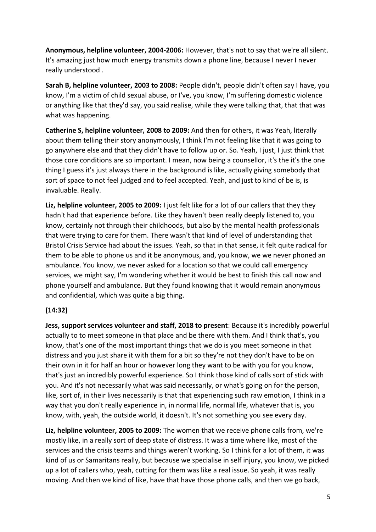**Anonymous, helpline volunteer, 2004-2006:** However, that's not to say that we're all silent. It's amazing just how much energy transmits down a phone line, because I never I never really understood .

**Sarah B, helpline volunteer, 2003 to 2008:** People didn't, people didn't often say I have, you know, I'm a victim of child sexual abuse, or I've, you know, I'm suffering domestic violence or anything like that they'd say, you said realise, while they were talking that, that that was what was happening.

**Catherine S, helpline volunteer, 2008 to 2009:** And then for others, it was Yeah, literally about them telling their story anonymously, I think I'm not feeling like that it was going to go anywhere else and that they didn't have to follow up or. So. Yeah, I just, I just think that those core conditions are so important. I mean, now being a counsellor, it's the it's the one thing I guess it's just always there in the background is like, actually giving somebody that sort of space to not feel judged and to feel accepted. Yeah, and just to kind of be is, is invaluable. Really.

**Liz, helpline volunteer, 2005 to 2009:** I just felt like for a lot of our callers that they they hadn't had that experience before. Like they haven't been really deeply listened to, you know, certainly not through their childhoods, but also by the mental health professionals that were trying to care for them. There wasn't that kind of level of understanding that Bristol Crisis Service had about the issues. Yeah, so that in that sense, it felt quite radical for them to be able to phone us and it be anonymous, and, you know, we we never phoned an ambulance. You know, we never asked for a location so that we could call emergency services, we might say, I'm wondering whether it would be best to finish this call now and phone yourself and ambulance. But they found knowing that it would remain anonymous and confidential, which was quite a big thing.

#### **(14:32)**

**Jess, support services volunteer and staff, 2018 to present**: Because it's incredibly powerful actually to to meet someone in that place and be there with them. And I think that's, you know, that's one of the most important things that we do is you meet someone in that distress and you just share it with them for a bit so they're not they don't have to be on their own in it for half an hour or however long they want to be with you for you know, that's just an incredibly powerful experience. So I think those kind of calls sort of stick with you. And it's not necessarily what was said necessarily, or what's going on for the person, like, sort of, in their lives necessarily is that that experiencing such raw emotion, I think in a way that you don't really experience in, in normal life, normal life, whatever that is, you know, with, yeah, the outside world, it doesn't. It's not something you see every day.

**Liz, helpline volunteer, 2005 to 2009:** The women that we receive phone calls from, we're mostly like, in a really sort of deep state of distress. It was a time where like, most of the services and the crisis teams and things weren't working. So I think for a lot of them, it was kind of us or Samaritans really, but because we specialise in self injury, you know, we picked up a lot of callers who, yeah, cutting for them was like a real issue. So yeah, it was really moving. And then we kind of like, have that have those phone calls, and then we go back,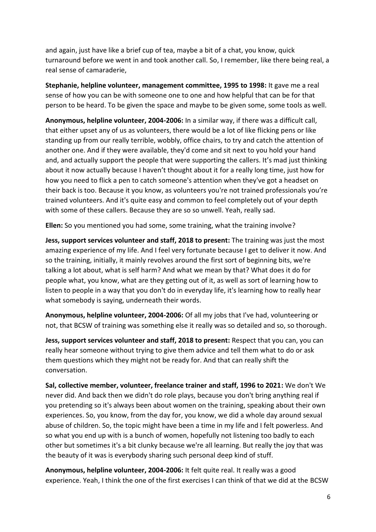and again, just have like a brief cup of tea, maybe a bit of a chat, you know, quick turnaround before we went in and took another call. So, I remember, like there being real, a real sense of camaraderie,

**Stephanie, helpline volunteer, management committee, 1995 to 1998:** It gave me a real sense of how you can be with someone one to one and how helpful that can be for that person to be heard. To be given the space and maybe to be given some, some tools as well.

**Anonymous, helpline volunteer, 2004-2006:** In a similar way, if there was a difficult call, that either upset any of us as volunteers, there would be a lot of like flicking pens or like standing up from our really terrible, wobbly, office chairs, to try and catch the attention of another one. And if they were available, they'd come and sit next to you hold your hand and, and actually support the people that were supporting the callers. It's mad just thinking about it now actually because I haven't thought about it for a really long time, just how for how you need to flick a pen to catch someone's attention when they've got a headset on their back is too. Because it you know, as volunteers you're not trained professionals you're trained volunteers. And it's quite easy and common to feel completely out of your depth with some of these callers. Because they are so so unwell. Yeah, really sad.

**Ellen:** So you mentioned you had some, some training, what the training involve?

**Jess, support services volunteer and staff, 2018 to present:** The training was just the most amazing experience of my life. And I feel very fortunate because I get to deliver it now. And so the training, initially, it mainly revolves around the first sort of beginning bits, we're talking a lot about, what is self harm? And what we mean by that? What does it do for people what, you know, what are they getting out of it, as well as sort of learning how to listen to people in a way that you don't do in everyday life, it's learning how to really hear what somebody is saying, underneath their words.

**Anonymous, helpline volunteer, 2004-2006:** Of all my jobs that I've had, volunteering or not, that BCSW of training was something else it really was so detailed and so, so thorough.

**Jess, support services volunteer and staff, 2018 to present:** Respect that you can, you can really hear someone without trying to give them advice and tell them what to do or ask them questions which they might not be ready for. And that can really shift the conversation.

**Sal, collective member, volunteer, freelance trainer and staff, 1996 to 2021:** We don't We never did. And back then we didn't do role plays, because you don't bring anything real if you pretending so it's always been about women on the training, speaking about their own experiences. So, you know, from the day for, you know, we did a whole day around sexual abuse of children. So, the topic might have been a time in my life and I felt powerless. And so what you end up with is a bunch of women, hopefully not listening too badly to each other but sometimes it's a bit clunky because we're all learning. But really the joy that was the beauty of it was is everybody sharing such personal deep kind of stuff.

**Anonymous, helpline volunteer, 2004-2006:** It felt quite real. It really was a good experience. Yeah, I think the one of the first exercises I can think of that we did at the BCSW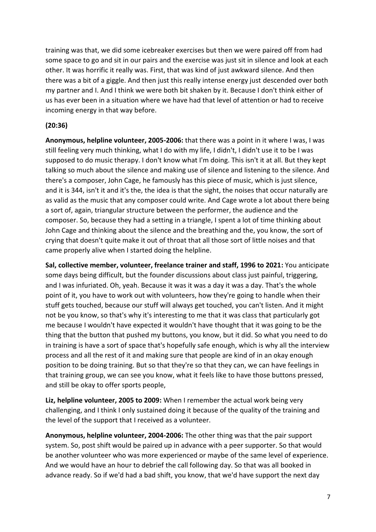training was that, we did some icebreaker exercises but then we were paired off from had some space to go and sit in our pairs and the exercise was just sit in silence and look at each other. It was horrific it really was. First, that was kind of just awkward silence. And then there was a bit of a giggle. And then just this really intense energy just descended over both my partner and I. And I think we were both bit shaken by it. Because I don't think either of us has ever been in a situation where we have had that level of attention or had to receive incoming energy in that way before.

#### **(20:36)**

**Anonymous, helpline volunteer, 2005-2006:** that there was a point in it where I was, I was still feeling very much thinking, what I do with my life, I didn't, I didn't use it to be I was supposed to do music therapy. I don't know what I'm doing. This isn't it at all. But they kept talking so much about the silence and making use of silence and listening to the silence. And there's a composer, John Cage, he famously has this piece of music, which is just silence, and it is 344, isn't it and it's the, the idea is that the sight, the noises that occur naturally are as valid as the music that any composer could write. And Cage wrote a lot about there being a sort of, again, triangular structure between the performer, the audience and the composer. So, because they had a setting in a triangle, I spent a lot of time thinking about John Cage and thinking about the silence and the breathing and the, you know, the sort of crying that doesn't quite make it out of throat that all those sort of little noises and that came properly alive when I started doing the helpline.

**Sal, collective member, volunteer, freelance trainer and staff, 1996 to 2021:** You anticipate some days being difficult, but the founder discussions about class just painful, triggering, and I was infuriated. Oh, yeah. Because it was it was a day it was a day. That's the whole point of it, you have to work out with volunteers, how they're going to handle when their stuff gets touched, because our stuff will always get touched, you can't listen. And it might not be you know, so that's why it's interesting to me that it was class that particularly got me because I wouldn't have expected it wouldn't have thought that it was going to be the thing that the button that pushed my buttons, you know, but it did. So what you need to do in training is have a sort of space that's hopefully safe enough, which is why all the interview process and all the rest of it and making sure that people are kind of in an okay enough position to be doing training. But so that they're so that they can, we can have feelings in that training group, we can see you know, what it feels like to have those buttons pressed, and still be okay to offer sports people,

**Liz, helpline volunteer, 2005 to 2009:** When I remember the actual work being very challenging, and I think I only sustained doing it because of the quality of the training and the level of the support that I received as a volunteer.

**Anonymous, helpline volunteer, 2004-2006:** The other thing was that the pair support system. So, post shift would be paired up in advance with a peer supporter. So that would be another volunteer who was more experienced or maybe of the same level of experience. And we would have an hour to debrief the call following day. So that was all booked in advance ready. So if we'd had a bad shift, you know, that we'd have support the next day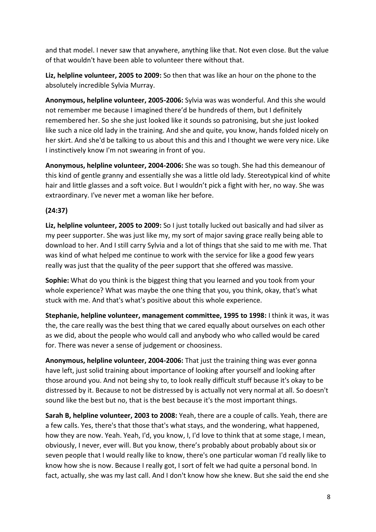and that model. I never saw that anywhere, anything like that. Not even close. But the value of that wouldn't have been able to volunteer there without that.

**Liz, helpline volunteer, 2005 to 2009:** So then that was like an hour on the phone to the absolutely incredible Sylvia Murray.

**Anonymous, helpline volunteer, 2005-2006:** Sylvia was was wonderful. And this she would not remember me because I imagined there'd be hundreds of them, but I definitely remembered her. So she she just looked like it sounds so patronising, but she just looked like such a nice old lady in the training. And she and quite, you know, hands folded nicely on her skirt. And she'd be talking to us about this and this and I thought we were very nice. Like I instinctively know I'm not swearing in front of you.

**Anonymous, helpline volunteer, 2004-2006:** She was so tough. She had this demeanour of this kind of gentle granny and essentially she was a little old lady. Stereotypical kind of white hair and little glasses and a soft voice. But I wouldn't pick a fight with her, no way. She was extraordinary. I've never met a woman like her before.

# **(24:37)**

**Liz, helpline volunteer, 2005 to 2009:** So I just totally lucked out basically and had silver as my peer supporter. She was just like my, my sort of major saving grace really being able to download to her. And I still carry Sylvia and a lot of things that she said to me with me. That was kind of what helped me continue to work with the service for like a good few years really was just that the quality of the peer support that she offered was massive.

**Sophie:** What do you think is the biggest thing that you learned and you took from your whole experience? What was maybe the one thing that you, you think, okay, that's what stuck with me. And that's what's positive about this whole experience.

**Stephanie, helpline volunteer, management committee, 1995 to 1998:** I think it was, it was the, the care really was the best thing that we cared equally about ourselves on each other as we did, about the people who would call and anybody who who called would be cared for. There was never a sense of judgement or choosiness.

**Anonymous, helpline volunteer, 2004-2006:** That just the training thing was ever gonna have left, just solid training about importance of looking after yourself and looking after those around you. And not being shy to, to look really difficult stuff because it's okay to be distressed by it. Because to not be distressed by is actually not very normal at all. So doesn't sound like the best but no, that is the best because it's the most important things.

**Sarah B, helpline volunteer, 2003 to 2008:** Yeah, there are a couple of calls. Yeah, there are a few calls. Yes, there's that those that's what stays, and the wondering, what happened, how they are now. Yeah. Yeah, I'd, you know, I, I'd love to think that at some stage, I mean, obviously, I never, ever will. But you know, there's probably about probably about six or seven people that I would really like to know, there's one particular woman I'd really like to know how she is now. Because I really got, I sort of felt we had quite a personal bond. In fact, actually, she was my last call. And I don't know how she knew. But she said the end she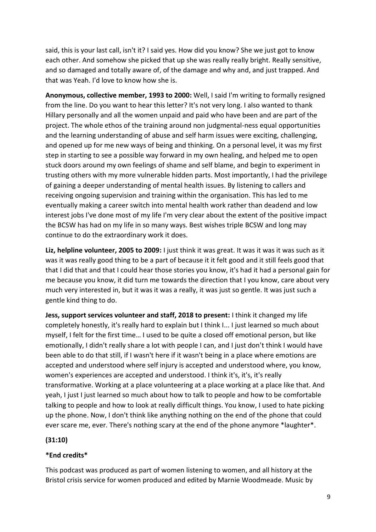said, this is your last call, isn't it? I said yes. How did you know? She we just got to know each other. And somehow she picked that up she was really really bright. Really sensitive, and so damaged and totally aware of, of the damage and why and, and just trapped. And that was Yeah. I'd love to know how she is.

**Anonymous, collective member, 1993 to 2000:** Well, I said I'm writing to formally resigned from the line. Do you want to hear this letter? It's not very long. I also wanted to thank Hillary personally and all the women unpaid and paid who have been and are part of the project. The whole ethos of the training around non judgmental-ness equal opportunities and the learning understanding of abuse and self harm issues were exciting, challenging, and opened up for me new ways of being and thinking. On a personal level, it was my first step in starting to see a possible way forward in my own healing, and helped me to open stuck doors around my own feelings of shame and self blame, and begin to experiment in trusting others with my more vulnerable hidden parts. Most importantly, I had the privilege of gaining a deeper understanding of mental health issues. By listening to callers and receiving ongoing supervision and training within the organisation. This has led to me eventually making a career switch into mental health work rather than deadend and low interest jobs I've done most of my life I'm very clear about the extent of the positive impact the BCSW has had on my life in so many ways. Best wishes triple BCSW and long may continue to do the extraordinary work it does.

**Liz, helpline volunteer, 2005 to 2009:** I just think it was great. It was it was it was such as it was it was really good thing to be a part of because it it felt good and it still feels good that that I did that and that I could hear those stories you know, it's had it had a personal gain for me because you know, it did turn me towards the direction that I you know, care about very much very interested in, but it was it was a really, it was just so gentle. It was just such a gentle kind thing to do.

**Jess, support services volunteer and staff, 2018 to present:** I think it changed my life completely honestly, it's really hard to explain but I think I... I just learned so much about myself, I felt for the first time… I used to be quite a closed off emotional person, but like emotionally, I didn't really share a lot with people I can, and I just don't think I would have been able to do that still, if I wasn't here if it wasn't being in a place where emotions are accepted and understood where self injury is accepted and understood where, you know, women's experiences are accepted and understood. I think it's, it's, it's really transformative. Working at a place volunteering at a place working at a place like that. And yeah, I just I just learned so much about how to talk to people and how to be comfortable talking to people and how to look at really difficult things. You know, I used to hate picking up the phone. Now, I don't think like anything nothing on the end of the phone that could ever scare me, ever. There's nothing scary at the end of the phone anymore \*laughter\*.

# **(31:10)**

# **\*End credits\***

This podcast was produced as part of women listening to women, and all history at the Bristol crisis service for women produced and edited by Marnie Woodmeade. Music by